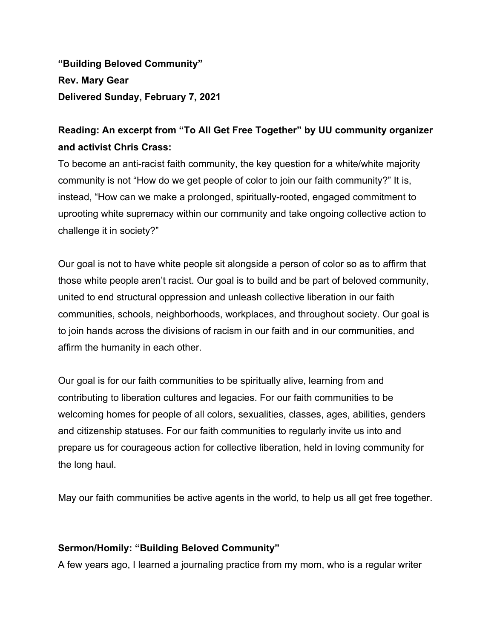**"Building Beloved Community" Rev. Mary Gear Delivered Sunday, February 7, 2021**

## **Reading: An excerpt from "To All Get Free Together" by UU community organizer and activist Chris Crass:**

To become an anti-racist faith community, the key question for a white/white majority community is not "How do we get people of color to join our faith community?" It is, instead, "How can we make a prolonged, spiritually-rooted, engaged commitment to uprooting white supremacy within our community and take ongoing collective action to challenge it in society?"

Our goal is not to have white people sit alongside a person of color so as to affirm that those white people aren't racist. Our goal is to build and be part of beloved community, united to end structural oppression and unleash collective liberation in our faith communities, schools, neighborhoods, workplaces, and throughout society. Our goal is to join hands across the divisions of racism in our faith and in our communities, and affirm the humanity in each other.

Our goal is for our faith communities to be spiritually alive, learning from and contributing to liberation cultures and legacies. For our faith communities to be welcoming homes for people of all colors, sexualities, classes, ages, abilities, genders and citizenship statuses. For our faith communities to regularly invite us into and prepare us for courageous action for collective liberation, held in loving community for the long haul.

May our faith communities be active agents in the world, to help us all get free together.

## **Sermon/Homily: "Building Beloved Community"**

A few years ago, I learned a journaling practice from my mom, who is a regular writer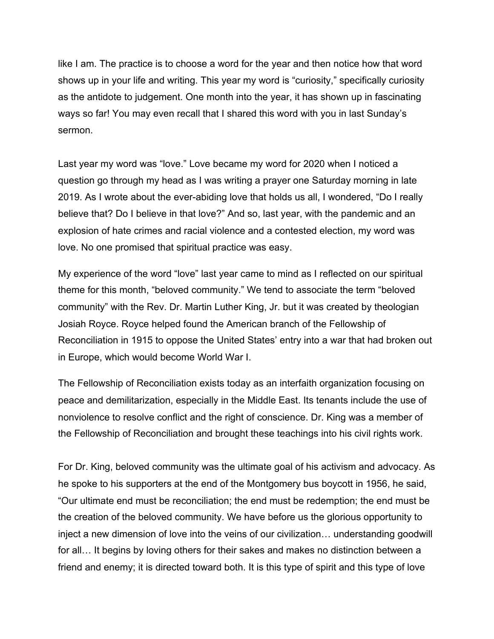like I am. The practice is to choose a word for the year and then notice how that word shows up in your life and writing. This year my word is "curiosity," specifically curiosity as the antidote to judgement. One month into the year, it has shown up in fascinating ways so far! You may even recall that I shared this word with you in last Sunday's sermon.

Last year my word was "love." Love became my word for 2020 when I noticed a question go through my head as I was writing a prayer one Saturday morning in late 2019. As I wrote about the ever-abiding love that holds us all, I wondered, "Do I really believe that? Do I believe in that love?" And so, last year, with the pandemic and an explosion of hate crimes and racial violence and a contested election, my word was love. No one promised that spiritual practice was easy.

My experience of the word "love" last year came to mind as I reflected on our spiritual theme for this month, "beloved community." We tend to associate the term "beloved community" with the Rev. Dr. Martin Luther King, Jr. but it was created by theologian Josiah Royce. Royce helped found the American branch of the Fellowship of Reconciliation in 1915 to oppose the United States' entry into a war that had broken out in Europe, which would become World War I.

The Fellowship of Reconciliation exists today as an interfaith organization focusing on peace and demilitarization, especially in the Middle East. Its tenants include the use of nonviolence to resolve conflict and the right of conscience. Dr. King was a member of the Fellowship of Reconciliation and brought these teachings into his civil rights work.

For Dr. King, beloved community was the ultimate goal of his activism and advocacy. As he spoke to his supporters at the end of the Montgomery bus boycott in 1956, he said, "Our ultimate end must be reconciliation; the end must be redemption; the end must be the creation of the beloved community. We have before us the glorious opportunity to inject a new dimension of love into the veins of our civilization… understanding goodwill for all… It begins by loving others for their sakes and makes no distinction between a friend and enemy; it is directed toward both. It is this type of spirit and this type of love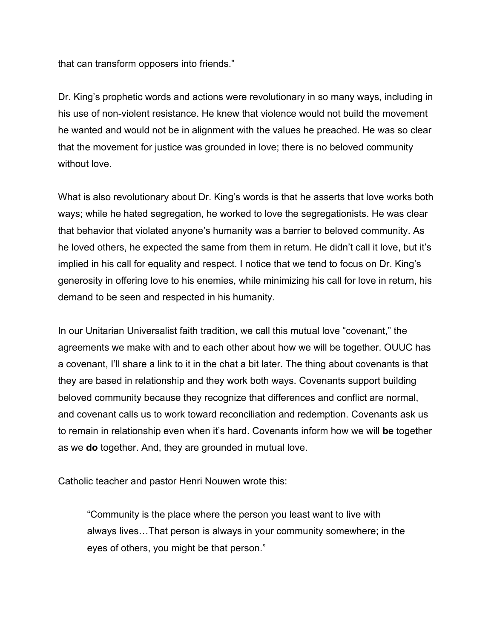that can transform opposers into friends."

Dr. King's prophetic words and actions were revolutionary in so many ways, including in his use of non-violent resistance. He knew that violence would not build the movement he wanted and would not be in alignment with the values he preached. He was so clear that the movement for justice was grounded in love; there is no beloved community without love.

What is also revolutionary about Dr. King's words is that he asserts that love works both ways; while he hated segregation, he worked to love the segregationists. He was clear that behavior that violated anyone's humanity was a barrier to beloved community. As he loved others, he expected the same from them in return. He didn't call it love, but it's implied in his call for equality and respect. I notice that we tend to focus on Dr. King's generosity in offering love to his enemies, while minimizing his call for love in return, his demand to be seen and respected in his humanity.

In our Unitarian Universalist faith tradition, we call this mutual love "covenant," the agreements we make with and to each other about how we will be together. OUUC has a covenant, I'll share a link to it in the chat a bit later. The thing about covenants is that they are based in relationship and they work both ways. Covenants support building beloved community because they recognize that differences and conflict are normal, and covenant calls us to work toward reconciliation and redemption. Covenants ask us to remain in relationship even when it's hard. Covenants inform how we will **be** together as we **do** together. And, they are grounded in mutual love.

Catholic teacher and pastor Henri Nouwen wrote this:

"Community is the place where the person you least want to live with always lives…That person is always in your community somewhere; in the eyes of others, you might be that person."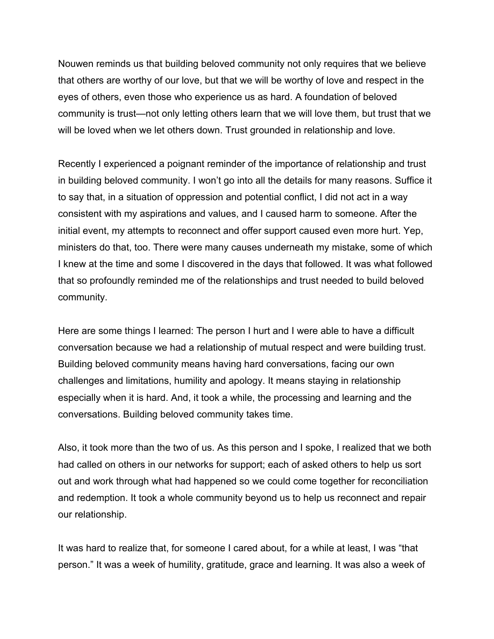Nouwen reminds us that building beloved community not only requires that we believe that others are worthy of our love, but that we will be worthy of love and respect in the eyes of others, even those who experience us as hard. A foundation of beloved community is trust—not only letting others learn that we will love them, but trust that we will be loved when we let others down. Trust grounded in relationship and love.

Recently I experienced a poignant reminder of the importance of relationship and trust in building beloved community. I won't go into all the details for many reasons. Suffice it to say that, in a situation of oppression and potential conflict, I did not act in a way consistent with my aspirations and values, and I caused harm to someone. After the initial event, my attempts to reconnect and offer support caused even more hurt. Yep, ministers do that, too. There were many causes underneath my mistake, some of which I knew at the time and some I discovered in the days that followed. It was what followed that so profoundly reminded me of the relationships and trust needed to build beloved community.

Here are some things I learned: The person I hurt and I were able to have a difficult conversation because we had a relationship of mutual respect and were building trust. Building beloved community means having hard conversations, facing our own challenges and limitations, humility and apology. It means staying in relationship especially when it is hard. And, it took a while, the processing and learning and the conversations. Building beloved community takes time.

Also, it took more than the two of us. As this person and I spoke, I realized that we both had called on others in our networks for support; each of asked others to help us sort out and work through what had happened so we could come together for reconciliation and redemption. It took a whole community beyond us to help us reconnect and repair our relationship.

It was hard to realize that, for someone I cared about, for a while at least, I was "that person." It was a week of humility, gratitude, grace and learning. It was also a week of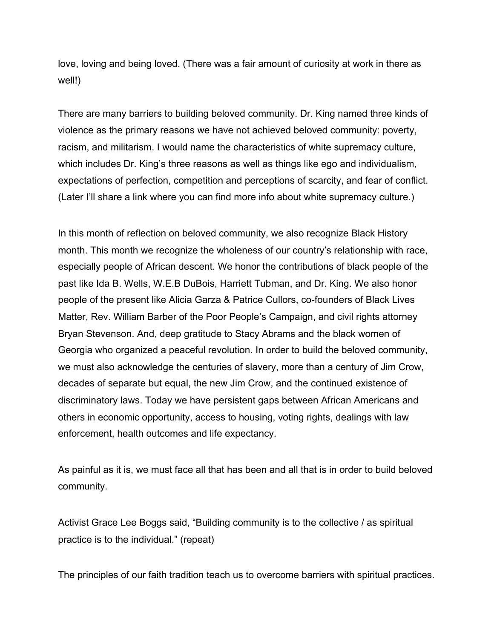love, loving and being loved. (There was a fair amount of curiosity at work in there as well!)

There are many barriers to building beloved community. Dr. King named three kinds of violence as the primary reasons we have not achieved beloved community: poverty, racism, and militarism. I would name the characteristics of white supremacy culture, which includes Dr. King's three reasons as well as things like ego and individualism, expectations of perfection, competition and perceptions of scarcity, and fear of conflict. (Later I'll share a link where you can find more info about white supremacy culture.)

In this month of reflection on beloved community, we also recognize Black History month. This month we recognize the wholeness of our country's relationship with race, especially people of African descent. We honor the contributions of black people of the past like Ida B. Wells, W.E.B DuBois, Harriett Tubman, and Dr. King. We also honor people of the present like Alicia Garza & Patrice Cullors, co-founders of Black Lives Matter, Rev. William Barber of the Poor People's Campaign, and civil rights attorney Bryan Stevenson. And, deep gratitude to Stacy Abrams and the black women of Georgia who organized a peaceful revolution. In order to build the beloved community, we must also acknowledge the centuries of slavery, more than a century of Jim Crow, decades of separate but equal, the new Jim Crow, and the continued existence of discriminatory laws. Today we have persistent gaps between African Americans and others in economic opportunity, access to housing, voting rights, dealings with law enforcement, health outcomes and life expectancy.

As painful as it is, we must face all that has been and all that is in order to build beloved community.

Activist Grace Lee Boggs said, "Building community is to the collective / as spiritual practice is to the individual." (repeat)

The principles of our faith tradition teach us to overcome barriers with spiritual practices.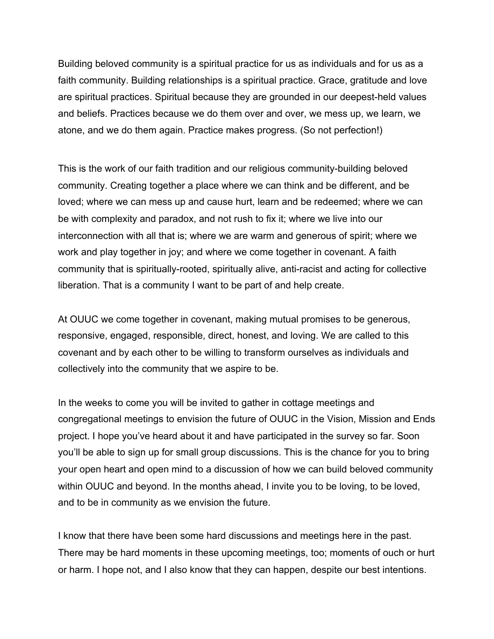Building beloved community is a spiritual practice for us as individuals and for us as a faith community. Building relationships is a spiritual practice. Grace, gratitude and love are spiritual practices. Spiritual because they are grounded in our deepest-held values and beliefs. Practices because we do them over and over, we mess up, we learn, we atone, and we do them again. Practice makes progress. (So not perfection!)

This is the work of our faith tradition and our religious community-building beloved community. Creating together a place where we can think and be different, and be loved; where we can mess up and cause hurt, learn and be redeemed; where we can be with complexity and paradox, and not rush to fix it; where we live into our interconnection with all that is; where we are warm and generous of spirit; where we work and play together in joy; and where we come together in covenant. A faith community that is spiritually-rooted, spiritually alive, anti-racist and acting for collective liberation. That is a community I want to be part of and help create.

At OUUC we come together in covenant, making mutual promises to be generous, responsive, engaged, responsible, direct, honest, and loving. We are called to this covenant and by each other to be willing to transform ourselves as individuals and collectively into the community that we aspire to be.

In the weeks to come you will be invited to gather in cottage meetings and congregational meetings to envision the future of OUUC in the Vision, Mission and Ends project. I hope you've heard about it and have participated in the survey so far. Soon you'll be able to sign up for small group discussions. This is the chance for you to bring your open heart and open mind to a discussion of how we can build beloved community within OUUC and beyond. In the months ahead, I invite you to be loving, to be loved, and to be in community as we envision the future.

I know that there have been some hard discussions and meetings here in the past. There may be hard moments in these upcoming meetings, too; moments of ouch or hurt or harm. I hope not, and I also know that they can happen, despite our best intentions.